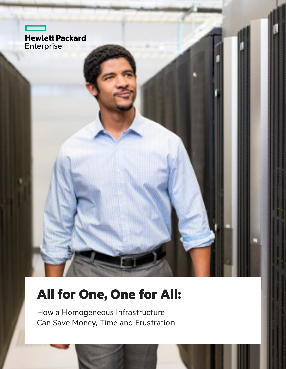

# **All for One, One for All:**

How a Homogeneous Infrastructure Can Save Money, Time and Frustration

CHAPTER TITLE GOES HERE **11 DECK AND LOCAL CONTRACT CONTRACT CONTRACT CONTRACT CONTRACT CONTRACT CONTRACT CONTRACT CONTRACT CONTRACT CONTRACT CONTRACT CONTRACT CONTRACT CONTRACT CONTRACT CONTRACT CONTRACT CONTRACT CONTRACT**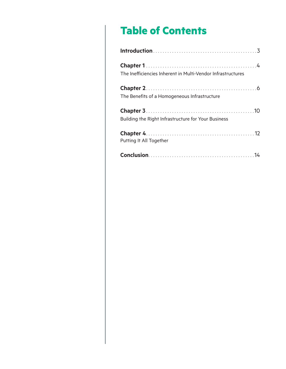## **Table of Contents**

| The Inefficiencies Inherent in Multi-Vendor Infrastructures |
|-------------------------------------------------------------|
| The Benefits of a Homogeneous Infrastructure                |
| Building the Right Infrastructure for Your Business         |
| Putting It All Together                                     |
|                                                             |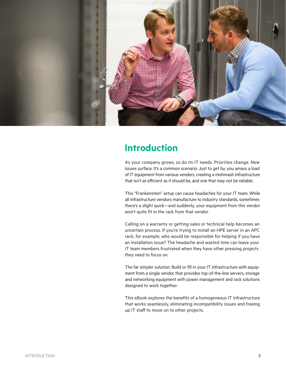

## **Introduction**

As your company grows, so do its IT needs. Priorities change. New issues surface. It's a common scenario: Just to get by, you amass a load of IT equipment from various venders, creating a mishmash infrastructure that isn't as efficient as it should be, and one that may not be reliable.

This "Frankenstein" setup can cause headaches for your IT team. While all infrastructure vendors manufacture to industry standards, sometimes there's a slight quirk—and suddenly, your equipment from this vendor won't quite fit in the rack from that vendor.

Calling on a warranty or getting sales or technical help becomes an uncertain process. If you're trying to install an HPE server in an APC rack, for example, who would be responsible for helping if you have an installation issue? The headache and wasted time can leave your IT team members frustrated when they have other pressing projects they need to focus on.

The far simpler solution: Build or fill in your IT infrastructure with equipment from a single vendor that provides top-of-the-line servers, storage and networking equipment with power management and rack solutions designed to work together.

This eBook explores the benefits of a homogeneous IT infrastructure that works seamlessly, eliminating incompatibility issues and freeing up IT staff to move on to other projects.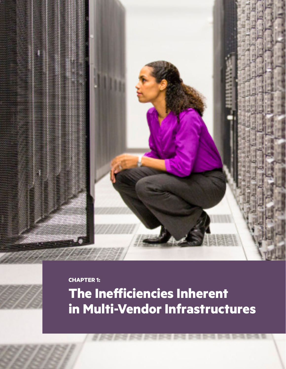**CHAPTER 1:**

**The Inefficiencies Inherent in Multi-Vendor Infrastructures**

CHAPTER TITLE GOES HERE **4**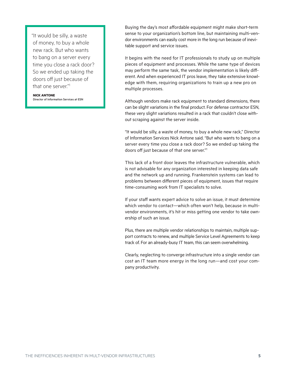"It would be silly, a waste of money, to buy a whole new rack. But who wants to bang on a server every time you close a rack door? So we ended up taking the doors off just because of that one server." 1

**NICK ANTONE** Director of Information Services at ESN Buying the day's most affordable equipment might make short-term sense to your organization's bottom line, but maintaining multi-vendor environments can easily cost more in the long run because of inevitable support and service issues.

It begins with the need for IT professionals to study up on multiple pieces of equipment and processes. While the same type of devices may perform the same task, the vendor implementation is likely different. And when experienced IT pros leave, they take extensive knowledge with them, requiring organizations to train up a new pro on multiple processes.

Although vendors make rack equipment to standard dimensions, there can be slight variations in the final product. For defense contractor ESN, these very slight variations resulted in a rack that couldn't close without scraping against the server inside.

"It would be silly, a waste of money, to buy a whole new rack," Director of Information Services Nick Antone said. "But who wants to bang on a server every time you close a rack door? So we ended up taking the doors off just because of that one server."1

This lack of a front door leaves the infrastructure vulnerable, which is not advisable for any organization interested in keeping data safe and the network up and running. Frankenstein systems can lead to problems between different pieces of equipment, issues that require time-consuming work from IT specialists to solve.

If your staff wants expert advice to solve an issue, it must determine which vendor to contact—which often won't help, because in multivendor environments, it's hit or miss getting one vendor to take ownership of such an issue.

Plus, there are multiple vendor relationships to maintain, multiple support contracts to renew, and multiple Service Level Agreements to keep track of. For an already-busy IT team, this can seem overwhelming.

Clearly, neglecting to converge infrastructure into a single vendor can cost an IT team more energy in the long run—and cost your company productivity.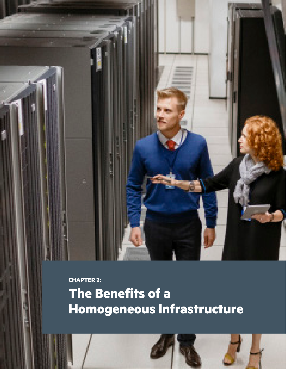**The Benefits of a Homogeneous Infrastructure CHAPTER 2:**

CHAPTER TITLE GOES HERE **6**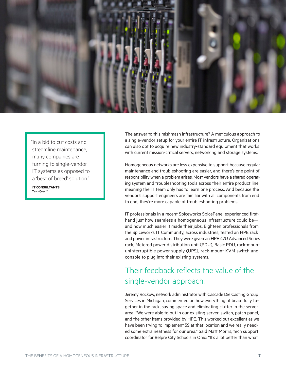

"In a bid to cut costs and streamline maintenance, many companies are turning to single-vendor IT systems as opposed to a 'best of breed' solution."

**IT CONSULTANTS** *TeamQuest2*

The answer to this mishmash infrastructure? A meticulous approach to a single-vendor setup for your entire IT infrastructure. Organizations can also opt to acquire new industry-standard equipment that works with current mission-critical servers, networking and storage systems.

Homogeneous networks are less expensive to support because regular maintenance and troubleshooting are easier, and there's one point of responsibility when a problem arises. Most vendors have a shared operating system and troubleshooting tools across their entire product line, meaning the IT team only has to learn one process. And because the vendor's support engineers are familiar with all components from end to end, they're more capable of troubleshooting problems.

IT professionals in a recent Spiceworks SpicePanel experienced firsthand just how seamless a homogeneous infrastructure could be and how much easier it made their jobs. Eighteen professionals from the Spiceworks IT Community, across industries, tested an HPE rack and power infrastructure. They were given an HPE 42U Advanced Series rack, Metered power distribution unit (PDU), Basic PDU, rack-mount uninterruptible power supply (UPS), rack-mount KVM switch and console to plug into their existing systems.

## Their feedback reflects the value of the single-vendor approach.

Jeremy Rockow, network administrator with Cascade Die Casting Group Services in Michigan, commented on how everything fit beautifully together in the rack, saving space and eliminating clutter in the server area. "We were able to put in our existing server, switch, patch panel, and the other items provided by HPE. This worked out excellent as we have been trying to implement 5S at that location and we really needed some extra neatness for our area." Said Matt Morris, tech support coordinator for Belpre City Schools in Ohio: "It's a lot better than what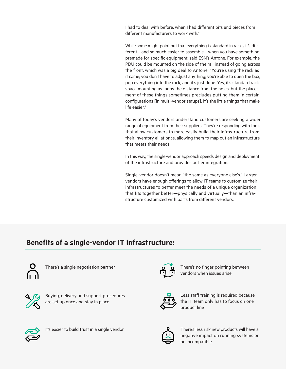I had to deal with before, when I had different bits and pieces from different manufacturers to work with."

While some might point out that everything is standard in racks, it's different—and so much easier to assemble—when you have something premade for specific equipment, said ESN's Antone. For example, the PDU could be mounted on the side of the rail instead of going across the front, which was a big deal to Antone. "You're using the rack as it came; you don't have to adjust anything; you're able to open the box, pop everything into the rack, and it's just done. Yes, it's standard rack space mounting as far as the distance from the holes, but the placement of these things sometimes precludes putting them in certain configurations [in multi-vendor setups]. It's the little things that make life easier."

Many of today's vendors understand customers are seeking a wider range of equipment from their suppliers. They're responding with tools that allow customers to more easily build their infrastructure from their inventory all at once, allowing them to map out an infrastructure that meets their needs.

In this way, the single-vendor approach speeds design and deployment of the infrastructure and provides better integration.

Single-vendor doesn't mean "the same as everyone else's." Larger vendors have enough offerings to allow IT teams to customize their infrastructures to better meet the needs of a unique organization that fits together better—physically and virtually—than an infrastructure customized with parts from different vendors.

### **Benefits of a single-vendor IT infrastructure:**



There's a single negotiation partner  $\overline{Q}$   $\overline{Q}$  There's no finger pointing between



Buying, delivery and support procedures are set up once and stay in place



vendors when issues arise



Less staff training is required because the IT team only has to focus on one product line



It's easier to build trust in a single vendor  $\mathbf{Q}$  There's less risk new products will have a



negative impact on running systems or be incompatible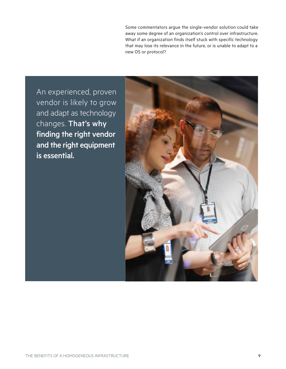Some commentators argue the single-vendor solution could take away some degree of an organization's control over infrastructure. What if an organization finds itself stuck with specific technology that may lose its relevance in the future, or is unable to adapt to a new OS or protocol?

An experienced, proven vendor is likely to grow and adapt as technology changes. That's why finding the right vendor and the right equipment is essential.

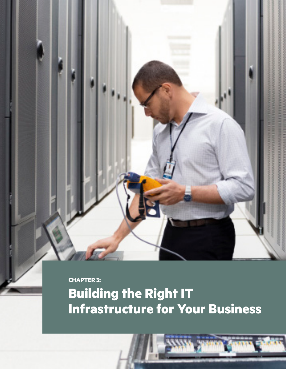**CHAPTER 3:**

# **Building the Right IT Infrastructure for Your Business**

CHAPTER TITLE GOES HERE IS NOT TITLE GOES HERE IS NOT TITLE GOES HERE IS NOT TITLE GOES HERE IS NOT TITLE GOES HERE IS NOT TITLE GOES HERE IS NOT TITLE GO. THE GOES HERE IS NO GO TO A 40 YO MALE OF THE GOES HERE IS NO GO T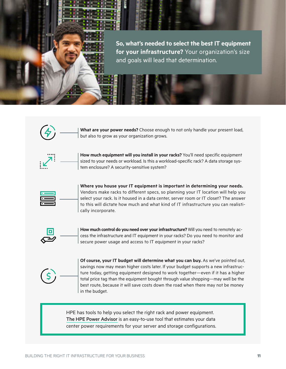**So, what's needed to select the best IT equipment for your infrastructure?** Your organization's size and goals will lead that determination.



**What are your power needs?** Choose enough to not only handle your present load, but also to grow as your organization grows.



**How much equipment will you install in your racks?** You'll need specific equipment sized to your needs or workload. Is this a workload-specific rack? A data storage system enclosure? A security-sensitive system?



**Where you house your IT equipment is important in determining your needs.** Vendors make racks to different specs, so planning your IT location will help you select your rack. Is it housed in a data center, server room or IT closet? The answer to this will dictate how much and what kind of IT infrastructure you can realistically incorporate.



**How much control do you need over your infrastructure?** Will you need to remotely access the infrastructure and IT equipment in your racks? Do you need to monitor and secure power usage and access to IT equipment in your racks?



**Of course, your IT budget will determine what you can buy.** As we've pointed out, savings now may mean higher costs later. If your budget supports a new infrastructure today, getting equipment designed to work together—even if it has a higher total price tag than the equipment bought through value shopping—may well be the best route, because it will save costs down the road when there may not be money in the budget.

HPE has tools to help you select the right rack and power equipment. The HPE Power Advisor is an easy-to-use tool that estimates your data center power requirements for your server and storage configurations.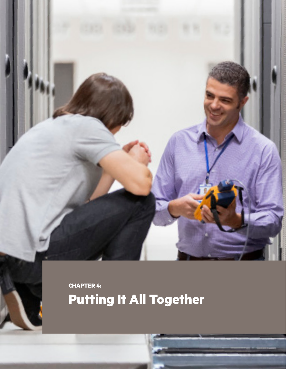**Putting It All Together CHAPTER 4:**

CHAPTER TITLE GOES HERE IN 1999 WAS ARRESTED FOR DESIGNATION AND THE USE OF THE USE OF THE USE OF THE USE OF THE USE OF THE USE OF THE USE OF THE USE OF THE USE OF THE USE OF THE USE OF THE USE OF THE USE OF THE USE OF THE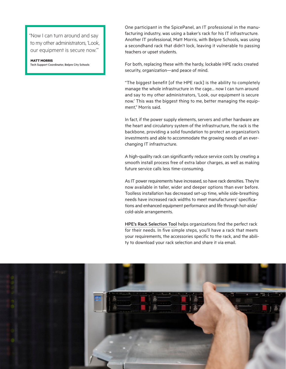"Now I can turn around and say to my other administrators, 'Look, our equipment is secure now.'"

**MATT MORRIS** Tech Support Coordinator, Belpre City Schools One participant in the SpicePanel, an IT professional in the manufacturing industry, was using a baker's rack for his IT infrastructure. Another IT professional, Matt Morris, with Belpre Schools, was using a secondhand rack that didn't lock, leaving it vulnerable to passing teachers or upset students.

For both, replacing these with the hardy, lockable HPE racks created security, organization—and peace of mind.

"The biggest benefit [of the HPE rack] is the ability to completely manage the whole infrastructure in the cage… now I can turn around and say to my other administrators, 'Look, our equipment is secure now.' This was the biggest thing to me, better managing the equipment," Morris said.

In fact, if the power supply elements, servers and other hardware are the heart and circulatory system of the infrastructure, the rack is the backbone, providing a solid foundation to protect an organization's investments and able to accommodate the growing needs of an everchanging IT infrastructure.

A high-quality rack can significantly reduce service costs by creating a smooth install process free of extra labor charges, as well as making future service calls less time-consuming.

As IT power requirements have increased, so have rack densities. They're now available in taller, wider and deeper options than ever before. Toolless installation has decreased set-up time, while side-breathing needs have increased rack widths to meet manufacturers' specifications and enhanced equipment performance and life through hot-aisle/ cold-aisle arrangements.

HPE's Rack Selection Tool helps organizations find the perfect rack for their needs. In five simple steps, you'll have a rack that meets your requirements, the accessories specific to the rack, and the ability to download your rack selection and share it via email.